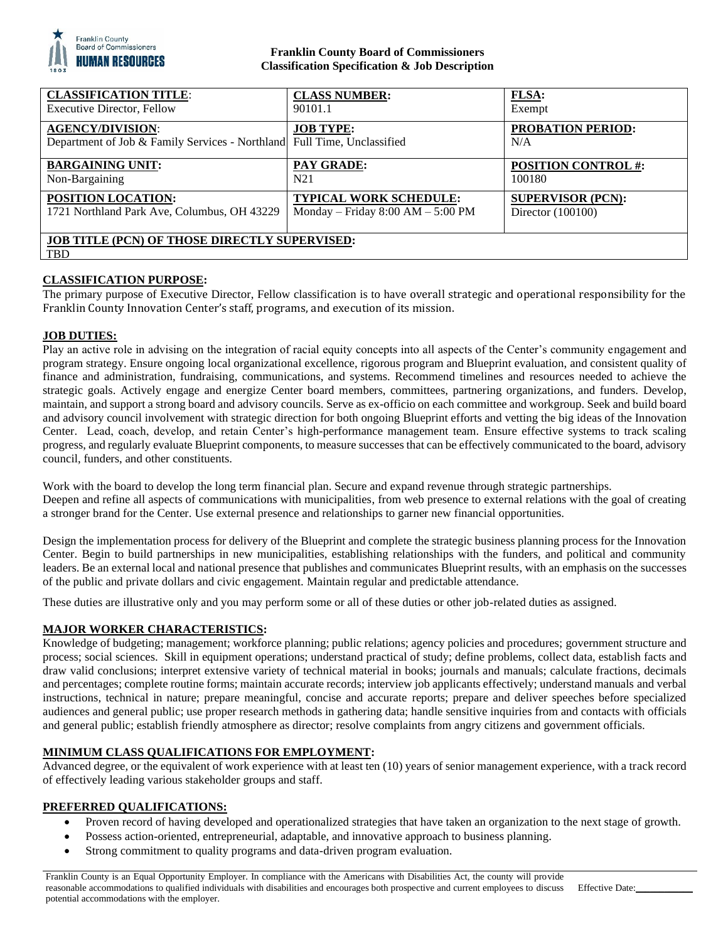

### **Franklin County Board of Commissioners Classification Specification & Job Description**

| <b>CLASSIFICATION TITLE:</b>                                                                       | <b>CLASS NUMBER:</b>                  | <b>FLSA:</b>                    |
|----------------------------------------------------------------------------------------------------|---------------------------------------|---------------------------------|
| <b>Executive Director, Fellow</b>                                                                  | 90101.1                               | Exempt                          |
| <b>AGENCY/DIVISION:</b><br>Department of Job & Family Services - Northland Full Time, Unclassified | <b>JOB TYPE:</b>                      | <b>PROBATION PERIOD:</b><br>N/A |
| <b>BARGAINING UNIT:</b>                                                                            | <b>PAY GRADE:</b>                     | <b>POSITION CONTROL #:</b>      |
| Non-Bargaining                                                                                     | N21                                   | 100180                          |
| <b>POSITION LOCATION:</b>                                                                          | <b>TYPICAL WORK SCHEDULE:</b>         | <b>SUPERVISOR (PCN):</b>        |
| 1721 Northland Park Ave, Columbus, OH 43229                                                        | Monday – Friday $8:00$ AM – $5:00$ PM | Director $(100100)$             |
| <b>JOB TITLE (PCN) OF THOSE DIRECTLY SUPERVISED:</b><br><b>TBD</b>                                 |                                       |                                 |

# **CLASSIFICATION PURPOSE:**

The primary purpose of Executive Director, Fellow classification is to have overall strategic and operational responsibility for the Franklin County Innovation Center's staff, programs, and execution of its mission.

### **JOB DUTIES:**

Play an active role in advising on the integration of racial equity concepts into all aspects of the Center's community engagement and program strategy. Ensure ongoing local organizational excellence, rigorous program and Blueprint evaluation, and consistent quality of finance and administration, fundraising, communications, and systems. Recommend timelines and resources needed to achieve the strategic goals. Actively engage and energize Center board members, committees, partnering organizations, and funders. Develop, maintain, and support a strong board and advisory councils. Serve as ex-officio on each committee and workgroup. Seek and build board and advisory council involvement with strategic direction for both ongoing Blueprint efforts and vetting the big ideas of the Innovation Center. Lead, coach, develop, and retain Center's high-performance management team. Ensure effective systems to track scaling progress, and regularly evaluate Blueprint components, to measure successes that can be effectively communicated to the board, advisory council, funders, and other constituents.

Work with the board to develop the long term financial plan. Secure and expand revenue through strategic partnerships. Deepen and refine all aspects of communications with municipalities, from web presence to external relations with the goal of creating a stronger brand for the Center. Use external presence and relationships to garner new financial opportunities.

Design the implementation process for delivery of the Blueprint and complete the strategic business planning process for the Innovation Center. Begin to build partnerships in new municipalities, establishing relationships with the funders, and political and community leaders. Be an external local and national presence that publishes and communicates Blueprint results, with an emphasis on the successes of the public and private dollars and civic engagement. Maintain regular and predictable attendance.

These duties are illustrative only and you may perform some or all of these duties or other job-related duties as assigned.

### **MAJOR WORKER CHARACTERISTICS:**

Knowledge of budgeting; management; workforce planning; public relations; agency policies and procedures; government structure and process; social sciences. Skill in equipment operations; understand practical of study; define problems, collect data, establish facts and draw valid conclusions; interpret extensive variety of technical material in books; journals and manuals; calculate fractions, decimals and percentages; complete routine forms; maintain accurate records; interview job applicants effectively; understand manuals and verbal instructions, technical in nature; prepare meaningful, concise and accurate reports; prepare and deliver speeches before specialized audiences and general public; use proper research methods in gathering data; handle sensitive inquiries from and contacts with officials and general public; establish friendly atmosphere as director; resolve complaints from angry citizens and government officials.

### **MINIMUM CLASS QUALIFICATIONS FOR EMPLOYMENT:**

Advanced degree, or the equivalent of work experience with at least ten (10) years of senior management experience, with a track record of effectively leading various stakeholder groups and staff.

### **PREFERRED QUALIFICATIONS:**

- Proven record of having developed and operationalized strategies that have taken an organization to the next stage of growth.
- Possess action-oriented, entrepreneurial, adaptable, and innovative approach to business planning.
- Strong commitment to quality programs and data-driven program evaluation.

Effective Date: